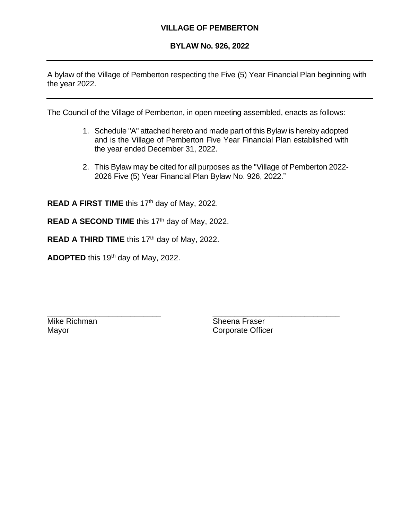## **VILLAGE OF PEMBERTON**

#### **BYLAW No. 926, 2022**

A bylaw of the Village of Pemberton respecting the Five (5) Year Financial Plan beginning with the year 2022.

The Council of the Village of Pemberton, in open meeting assembled, enacts as follows:

\_\_\_\_\_\_\_\_\_\_\_\_\_\_\_\_\_\_\_\_\_\_\_\_\_\_ \_\_\_\_\_\_\_\_\_\_\_\_\_\_\_\_\_\_\_\_\_\_\_\_\_\_\_\_\_

- 1. Schedule "A" attached hereto and made part of this Bylaw is hereby adopted and is the Village of Pemberton Five Year Financial Plan established with the year ended December 31, 2022.
- 2. This Bylaw may be cited for all purposes as the "Village of Pemberton 2022- 2026 Five (5) Year Financial Plan Bylaw No. 926, 2022."

**READ A FIRST TIME** this 17<sup>th</sup> day of May, 2022.

READ A SECOND TIME this 17<sup>th</sup> day of May, 2022.

READ A THIRD TIME this 17<sup>th</sup> day of May, 2022.

**ADOPTED** this 19th day of May, 2022.

Mike Richman Sheena Fraser Mayor **Communist Communist Communist Communist Communist Communist Communist Communist Communist Communist Communist Communist Communist Communist Communist Communist Communist Communist Communist Communist Communist Commu**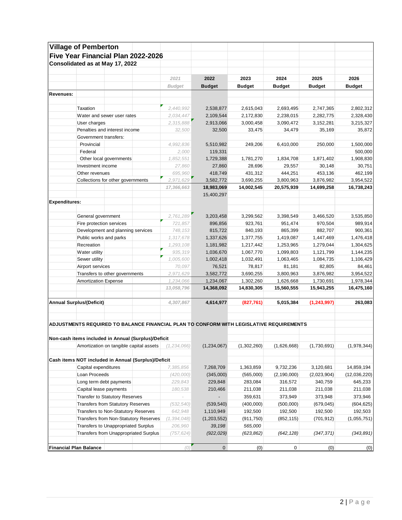|                      | <b>Village of Pemberton</b>                                                             |                          |               |               |               |               |               |
|----------------------|-----------------------------------------------------------------------------------------|--------------------------|---------------|---------------|---------------|---------------|---------------|
|                      | Five Year Financial Plan 2022-2026                                                      |                          |               |               |               |               |               |
|                      | Consolidated as at May 17, 2022                                                         |                          |               |               |               |               |               |
|                      |                                                                                         |                          |               |               |               |               |               |
|                      |                                                                                         | 2021                     | 2022          | 2023          | 2024          | 2025          | 2026          |
|                      |                                                                                         | <b>Budget</b>            | <b>Budget</b> | <b>Budget</b> | <b>Budget</b> | <b>Budget</b> | <b>Budget</b> |
| Revenues:            |                                                                                         |                          |               |               |               |               |               |
|                      |                                                                                         |                          |               |               |               |               |               |
|                      | Taxation                                                                                | 2,440,992                | 2,538,877     | 2,615,043     | 2,693,495     | 2,747,365     | 2,802,312     |
|                      | Water and sewer user rates                                                              | 2,034,447                | 2,109,544     | 2,172,830     | 2,238,015     | 2,282,775     | 2,328,430     |
|                      | User charges                                                                            | 2,315,888                | 2,913,066     | 3,000,458     | 3,090,472     | 3,152,281     | 3,215,327     |
|                      | Penalties and interest income                                                           | 32,500                   | 32,500        | 33,475        | 34,479        | 35,169        | 35,872        |
|                      | Government transfers:                                                                   |                          |               |               |               |               |               |
|                      | Provincial                                                                              | 4,992,836                | 5,510,982     | 249,206       | 6,410,000     | 250,000       | 1,500,000     |
|                      | Federal                                                                                 | 2,000                    | 119,331       |               |               |               | 500,000       |
|                      | Other local governments                                                                 | 1,852,551                | 1,729,388     | 1,781,270     | 1,834,708     | 1,871,402     | 1,908,830     |
|                      | Investment income                                                                       | 27,860                   | 27,860        | 28,696        | 29,557        | 30,148        | 30,751        |
|                      | Other revenues                                                                          | 695,960                  | 418,749       | 431,312       | 444,251       | 453,136       | 462,199       |
|                      | Collections for other governments                                                       | 2,971,629                | 3,582,772     | 3,690,255     | 3,800,963     | 3,876,982     | 3,954,522     |
|                      |                                                                                         | 17,366,663               | 18,983,069    | 14,002,545    | 20,575,939    | 14,699,258    | 16,738,243    |
|                      |                                                                                         |                          | 15,400,297    |               |               |               |               |
| <b>Expenditures:</b> |                                                                                         |                          |               |               |               |               |               |
|                      |                                                                                         |                          |               |               |               |               |               |
|                      | General government                                                                      | 2,761,289                | 3,203,458     | 3,299,562     | 3,398,549     | 3,466,520     | 3,535,850     |
|                      | Fire protection services                                                                | 721,857                  | 896,856       | 923,761       | 951,474       | 970,504       | 989,914       |
|                      | Development and planning services                                                       | 748, 153                 | 815,722       | 840,193       | 865,399       | 882,707       | 900,361       |
|                      | Public works and parks                                                                  | 1,317,678                | 1,337,626     | 1,377,755     | 1,419,087     | 1,447,469     | 1,476,418     |
|                      | Recreation                                                                              | 1,293,108                | 1,181,982     | 1,217,442     | 1,253,965     | 1,279,044     | 1,304,625     |
|                      | Water utility                                                                           | 935,319                  | 1,036,670     | 1,067,770     | 1,099,803     | 1,121,799     | 1,144,235     |
|                      | Sewer utility                                                                           | 1,005,600                | 1,002,418     | 1,032,491     | 1,063,465     | 1,084,735     | 1,106,429     |
|                      | Airport services                                                                        | 70,097                   | 76,521        | 78,817        | 81,181        | 82,805        | 84,461        |
|                      | Transfers to other governments                                                          | 2,971,629                | 3,582,772     | 3,690,255     | 3,800,963     | 3,876,982     | 3,954,522     |
|                      | <b>Amortization Expense</b>                                                             | 1,234,066                | 1,234,067     | 1,302,260     | 1,626,668     | 1,730,691     | 1,978,344     |
|                      |                                                                                         | 13,058,796               | 14,368,092    | 14,830,305    | 15,560,555    | 15,943,255    | 16,475,160    |
|                      | <b>Annual Surplus/(Deficit)</b>                                                         | 4,307,867                | 4,614,977     | (827, 761)    | 5,015,384     | (1, 243, 997) | 263,083       |
|                      | ADJUSTMENTS REQUIRED TO BALANCE FINANCIAL PLAN TO CONFORM WITH LEGISLATIVE REQUIREMENTS |                          |               |               |               |               |               |
|                      | Non-cash items included in Annual (Surplus)/Deficit                                     |                          |               |               |               |               |               |
|                      | Amortization on tangible capital assets                                                 | (1, 234, 066)            | (1,234,067)   | (1,302,260)   | (1,626,668)   | (1,730,691)   | (1,978,344)   |
|                      | Cash items NOT included in Annual (Surplus)/Deficit                                     |                          |               |               |               |               |               |
|                      | Capital expenditures                                                                    | 7,385,856                | 7,268,709     | 1,363,859     | 9,732,236     | 3,120,681     | 14,859,194    |
|                      | Loan Proceeds                                                                           | (420,000)                | (345,000)     | (565,000)     | (2, 190, 000) | (2,023,904)   | (12,036,220)  |
|                      | Long term debt payments                                                                 | 229,843                  | 229,848       | 283,084       | 316,572       | 340,759       | 645,233       |
|                      | Capital lease payments                                                                  | 180,538                  | 210,466       | 211,038       | 211,038       | 211,038       | 211,038       |
|                      | <b>Transfer to Statutory Reserves</b>                                                   | $\overline{\phantom{a}}$ |               | 359,631       | 373,949       | 373,948       | 373,946       |
|                      | <b>Transfers from Statutory Reserves</b>                                                | (532,540)                | (539, 540)    | (400,000)     | (500,000)     | (679, 045)    | (604,625)     |
|                      | Transfers to Non-Statutory Reserves                                                     | 642,948                  | 1,110,949     | 192,500       | 192,500       | 192,500       | 192,503       |
|                      | Transfers from Non-Statutory Reserves                                                   | (1, 394, 048)            |               |               |               |               | (1,055,751)   |
|                      |                                                                                         |                          | (1,203,552)   | (911, 750)    | (852, 115)    | (701, 912)    |               |
|                      | Transfers to Unappropriated Surplus                                                     | 206,960                  | 39,198        | 565,000       |               |               |               |
|                      | Transfers from Unappropriated Surplus                                                   | (757,624)                | (922, 029)    | (623, 862)    | (642, 128)    | (347, 371)    | (343, 891)    |
|                      | <b>Financial Plan Balance</b>                                                           | (0)                      | $\pmb{0}$     | (0)           | 0             | (0)           | (0)           |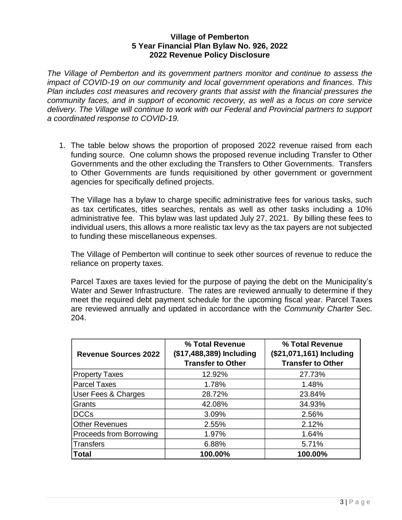*The Village of Pemberton and its government partners monitor and continue to assess the impact of COVID-19 on our community and local government operations and finances. This Plan includes cost measures and recovery grants that assist with the financial pressures the community faces, and in support of economic recovery, as well as a focus on core service delivery. The Village will continue to work with our Federal and Provincial partners to support a coordinated response to COVID-19.*

1. The table below shows the proportion of proposed 2022 revenue raised from each funding source. One column shows the proposed revenue including Transfer to Other Governments and the other excluding the Transfers to Other Governments. Transfers to Other Governments are funds requisitioned by other government or government agencies for specifically defined projects.

The Village has a bylaw to charge specific administrative fees for various tasks, such as tax certificates, titles searches, rentals as well as other tasks including a 10% administrative fee. This bylaw was last updated July 27, 2021. By billing these fees to individual users, this allows a more realistic tax levy as the tax payers are not subjected to funding these miscellaneous expenses.

The Village of Pemberton will continue to seek other sources of revenue to reduce the reliance on property taxes.

Parcel Taxes are taxes levied for the purpose of paying the debt on the Municipality's Water and Sewer Infrastructure. The rates are reviewed annually to determine if they meet the required debt payment schedule for the upcoming fiscal year. Parcel Taxes are reviewed annually and updated in accordance with the *Community Charter* Sec. 204.

| <b>Revenue Sources 2022</b> | % Total Revenue<br>(\$17,488,389) Including<br><b>Transfer to Other</b> | % Total Revenue<br>(\$21,071,161) Including<br><b>Transfer to Other</b> |  |  |
|-----------------------------|-------------------------------------------------------------------------|-------------------------------------------------------------------------|--|--|
| <b>Property Taxes</b>       | 12.92%                                                                  | 27.73%                                                                  |  |  |
| <b>Parcel Taxes</b>         | 1.78%                                                                   | 1.48%                                                                   |  |  |
| User Fees & Charges         | 28.72%                                                                  | 23.84%                                                                  |  |  |
| Grants                      | 42.08%                                                                  | 34.93%                                                                  |  |  |
| <b>DCCs</b>                 | 3.09%                                                                   | 2.56%                                                                   |  |  |
| <b>Other Revenues</b>       | 2.55%                                                                   | 2.12%                                                                   |  |  |
| Proceeds from Borrowing     | 1.97%                                                                   | 1.64%                                                                   |  |  |
| Transfers                   | 6.88%                                                                   | 5.71%                                                                   |  |  |
| <b>Total</b>                | 100.00%                                                                 | 100.00%                                                                 |  |  |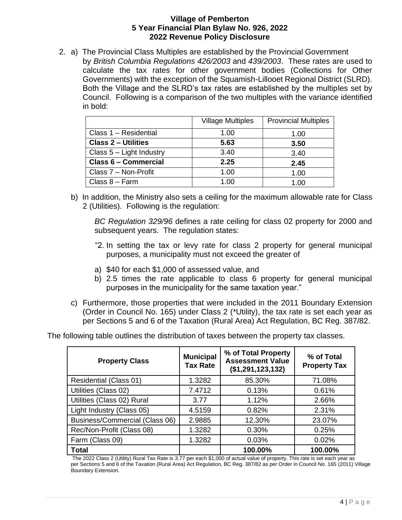2. a) The Provincial Class Multiples are established by the Provincial Government by *British Columbia Regulations 426/2003* and *439/2003*. These rates are used to calculate the tax rates for other government bodies (Collections for Other Governments) with the exception of the Squamish-Lillooet Regional District (SLRD). Both the Village and the SLRD's tax rates are established by the multiples set by Council. Following is a comparison of the two multiples with the variance identified in bold:

|                             | <b>Village Multiples</b> | <b>Provincial Multiples</b> |
|-----------------------------|--------------------------|-----------------------------|
| Class 1 - Residential       | 1.00                     | 1.00                        |
| <b>Class 2 - Utilities</b>  | 5.63                     | 3.50                        |
| Class 5 - Light Industry    | 3.40                     | 3.40                        |
| <b>Class 6 - Commercial</b> | 2.25                     | 2.45                        |
| Class 7 - Non-Profit        | 1.00                     | 1.00                        |
| Class $8 - Farm$            | 1.00                     | 1.00                        |

b) In addition, the Ministry also sets a ceiling for the maximum allowable rate for Class 2 (Utilities). Following is the regulation:

*BC Regulation 329/96* defines a rate ceiling for class 02 property for 2000 and subsequent years. The regulation states:

- "2. In setting the tax or levy rate for class 2 property for general municipal purposes, a municipality must not exceed the greater of
- a) \$40 for each \$1,000 of assessed value, and
- b) 2.5 times the rate applicable to class 6 property for general municipal purposes in the municipality for the same taxation year."
- c) Furthermore, those properties that were included in the 2011 Boundary Extension (Order in Council No. 165) under Class 2 (\*Utility), the tax rate is set each year as per Sections 5 and 6 of the Taxation (Rural Area) Act Regulation, BC Reg. 387/82.

The following table outlines the distribution of taxes between the property tax classes.

| <b>Property Class</b>          | <b>Municipal</b><br><b>Tax Rate</b> | % of Total Property<br><b>Assessment Value</b><br>(\$1,291,123,132) | % of Total<br><b>Property Tax</b> |  |
|--------------------------------|-------------------------------------|---------------------------------------------------------------------|-----------------------------------|--|
| Residential (Class 01)         | 1.3282                              | 85.30%                                                              | 71.08%                            |  |
| Utilities (Class 02)           | 7.4712                              | 0.13%                                                               | 0.61%                             |  |
| Utilities (Class 02) Rural     | 3.77                                | 1.12%                                                               | 2.66%                             |  |
| Light Industry (Class 05)      | 4.5159                              | 0.82%                                                               | 2.31%                             |  |
| Business/Commercial (Class 06) | 2.9885                              | 12.30%                                                              | 23.07%                            |  |
| Rec/Non-Profit (Class 08)      | 1.3282                              | 0.30%                                                               | 0.25%                             |  |
| Farm (Class 09)                | 1.3282                              | 0.03%                                                               | 0.02%                             |  |
| <b>Total</b>                   |                                     | 100.00%                                                             | 100.00%                           |  |

The 2022 Class 2 (Utility) Rural Tax Rate is 3.77 per each \$1,000 of actual value of property. This rate is set each year as per Sections 5 and 6 of the Taxation (Rural Area) Act Regulation, BC Reg. 387/82 as per Order in Council No. 165 (2011) Village Boundary Extension.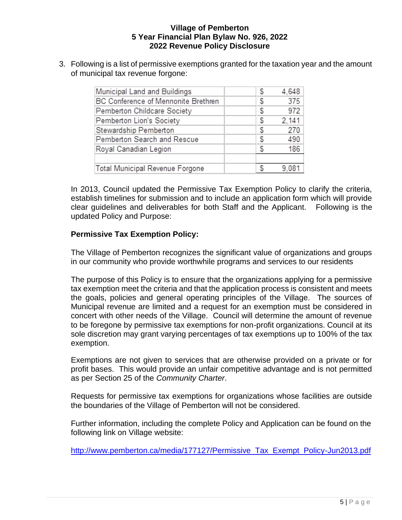3. Following is a list of permissive exemptions granted for the taxation year and the amount of municipal tax revenue forgone:

| Municipal Land and Buildings        | S | 4,648 |
|-------------------------------------|---|-------|
| BC Conference of Mennonite Brethren | S | 375   |
| Pemberton Childcare Society         | S | 972   |
| Pemberton Lion's Society            | S | 2.141 |
| Stewardship Pemberton               | S | 270   |
| Pemberton Search and Rescue         | S | 490   |
| Royal Canadian Legion               | S | 186   |
|                                     |   |       |
| Total Municipal Revenue Forgone     |   | 9.081 |

In 2013, Council updated the Permissive Tax Exemption Policy to clarify the criteria, establish timelines for submission and to include an application form which will provide clear guidelines and deliverables for both Staff and the Applicant. Following is the updated Policy and Purpose:

## **Permissive Tax Exemption Policy:**

The Village of Pemberton recognizes the significant value of organizations and groups in our community who provide worthwhile programs and services to our residents

The purpose of this Policy is to ensure that the organizations applying for a permissive tax exemption meet the criteria and that the application process is consistent and meets the goals, policies and general operating principles of the Village. The sources of Municipal revenue are limited and a request for an exemption must be considered in concert with other needs of the Village. Council will determine the amount of revenue to be foregone by permissive tax exemptions for non-profit organizations. Council at its sole discretion may grant varying percentages of tax exemptions up to 100% of the tax exemption.

Exemptions are not given to services that are otherwise provided on a private or for profit bases. This would provide an unfair competitive advantage and is not permitted as per Section 25 of the *Community Charter*.

Requests for permissive tax exemptions for organizations whose facilities are outside the boundaries of the Village of Pemberton will not be considered.

Further information, including the complete Policy and Application can be found on the following link on Village website:

[http://www.pemberton.ca/media/177127/Permissive\\_Tax\\_Exempt\\_Policy-Jun2013.pdf](about:blank)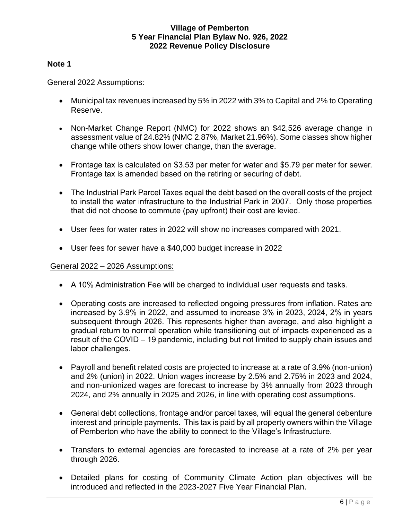#### **Note 1**

#### General 2022 Assumptions:

- Municipal tax revenues increased by 5% in 2022 with 3% to Capital and 2% to Operating Reserve.
- Non-Market Change Report (NMC) for 2022 shows an \$42,526 average change in assessment value of 24.82% (NMC 2.87%, Market 21.96%). Some classes show higher change while others show lower change, than the average.
- Frontage tax is calculated on \$3.53 per meter for water and \$5.79 per meter for sewer. Frontage tax is amended based on the retiring or securing of debt.
- The Industrial Park Parcel Taxes equal the debt based on the overall costs of the project to install the water infrastructure to the Industrial Park in 2007. Only those properties that did not choose to commute (pay upfront) their cost are levied.
- User fees for water rates in 2022 will show no increases compared with 2021.
- User fees for sewer have a \$40,000 budget increase in 2022

## General 2022 – 2026 Assumptions:

- A 10% Administration Fee will be charged to individual user requests and tasks.
- Operating costs are increased to reflected ongoing pressures from inflation. Rates are increased by 3.9% in 2022, and assumed to increase 3% in 2023, 2024, 2% in years subsequent through 2026. This represents higher than average, and also highlight a gradual return to normal operation while transitioning out of impacts experienced as a result of the COVID – 19 pandemic, including but not limited to supply chain issues and labor challenges.
- Payroll and benefit related costs are projected to increase at a rate of 3.9% (non-union) and 2% (union) in 2022. Union wages increase by 2.5% and 2.75% in 2023 and 2024, and non-unionized wages are forecast to increase by 3% annually from 2023 through 2024, and 2% annually in 2025 and 2026, in line with operating cost assumptions.
- General debt collections, frontage and/or parcel taxes, will equal the general debenture interest and principle payments. This tax is paid by all property owners within the Village of Pemberton who have the ability to connect to the Village's Infrastructure.
- Transfers to external agencies are forecasted to increase at a rate of 2% per year through 2026.
- Detailed plans for costing of Community Climate Action plan objectives will be introduced and reflected in the 2023-2027 Five Year Financial Plan.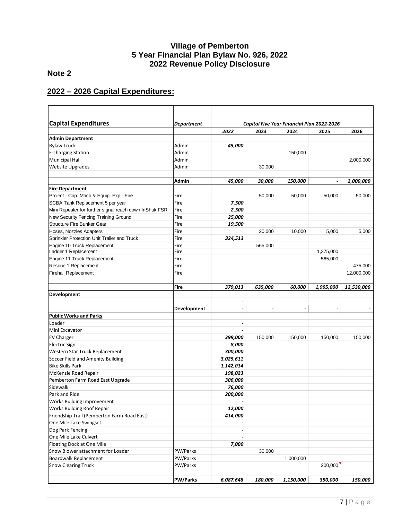# **Note 2**

# **2022 – 2026 Capital Expenditures:**

| <b>Capital Expenditures</b>                            | <b>Department</b> |                          |                          | Capital Five Year Financial Plan 2022-2026 |                               |            |
|--------------------------------------------------------|-------------------|--------------------------|--------------------------|--------------------------------------------|-------------------------------|------------|
|                                                        |                   | 2022                     | 2023                     | 2024                                       | 2025                          | 2026       |
| Admin Department                                       |                   |                          |                          |                                            |                               |            |
| <b>Bylaw Truck</b>                                     | Admin             | 45,000                   |                          |                                            |                               |            |
| <b>E-charging Station</b>                              | Admin             |                          |                          | 150,000                                    |                               |            |
| <b>Municipal Hall</b>                                  | Admin             |                          |                          |                                            |                               | 2,000,000  |
| <b>Website Upgrades</b>                                | Admin             |                          | 30,000                   |                                            |                               |            |
|                                                        | <b>Admin</b>      | 45,000                   | 30,000                   | 150,000                                    | $\overline{a}$                | 2,000,000  |
| <b>Fire Department</b>                                 |                   |                          |                          |                                            |                               |            |
| Project - Cap. Mach & Equip. Exp - Fire                | Fire              |                          | 50,000                   | 50,000                                     | 50,000                        | 50.000     |
| SCBA Tank Replacement 5 per year                       | Fire              | 7,500                    |                          |                                            |                               |            |
| Mini Repeater for further signal reach down InShuk FSR | Fire              | 2,500                    |                          |                                            |                               |            |
| New Security Fencing Training Ground                   | Fire              | 25,000                   |                          |                                            |                               |            |
| Structure Fire Bunker Gear                             | Fire              | 19,500                   |                          |                                            |                               |            |
| Hoses, Nozzles Adapters                                | Fire              |                          | 20,000                   | 10,000                                     | 5,000                         | 5,000      |
| Sprinkler Protection Unit Trailer and Truck            | Fire              | 324,513                  |                          |                                            |                               |            |
| Engine 10 Truck Replacement                            | Fire              |                          | 565,000                  |                                            |                               |            |
| Ladder 1 Replacement                                   | Fire              |                          |                          |                                            | 1,375,000                     |            |
| Engine 11 Truck Replacement                            | Fire              |                          |                          |                                            | 565.000                       |            |
| Rescue 1 Replacement                                   | Fire              |                          |                          |                                            |                               | 475,000    |
| <b>Firehall Replacement</b>                            | Fire              |                          |                          |                                            |                               | 12,000,000 |
|                                                        | Fire              | 379,013                  | 635,000                  | 60,000                                     | 1,995,000                     | 12,530,000 |
| <b>Development</b>                                     |                   |                          |                          |                                            |                               |            |
|                                                        | Development       | $\overline{\phantom{a}}$ | $\overline{\phantom{a}}$ | $\blacksquare$                             | $\overline{\phantom{a}}$<br>- |            |
| Public Works and Parks                                 |                   |                          |                          |                                            |                               |            |
| Loader                                                 |                   | $\overline{\phantom{a}}$ |                          |                                            |                               |            |
| Mini Excavator                                         |                   |                          |                          |                                            |                               |            |
| <b>EV Charger</b>                                      |                   | 399,000                  | 150,000                  | 150,000                                    | 150,000                       | 150,000    |
| <b>Electric Sign</b>                                   |                   | 8,000                    |                          |                                            |                               |            |
| Western Star Truck Replacement                         |                   | 300,000                  |                          |                                            |                               |            |
| Soccer Field and Amenity Building                      |                   | 3,025,611                |                          |                                            |                               |            |
| <b>Bike Skills Park</b>                                |                   | 1,142,014                |                          |                                            |                               |            |
| McKenzie Road Repair                                   |                   | 198,023                  |                          |                                            |                               |            |
| Pemberton Farm Road East Upgrade                       |                   | 306,000                  |                          |                                            |                               |            |
| Sidewalk                                               |                   | 76,000                   |                          |                                            |                               |            |
| Park and Ride                                          |                   | 200,000                  |                          |                                            |                               |            |
| Works Building Improvement                             |                   |                          |                          |                                            |                               |            |
| <b>Works Building Roof Repair</b>                      |                   | 12,000                   |                          |                                            |                               |            |
| Friendship Trail (Pemberton Farm Road East)            |                   | 414,000                  |                          |                                            |                               |            |
| One Mile Lake Swingset                                 |                   |                          |                          |                                            |                               |            |
| Dog Park Fencing                                       |                   |                          |                          |                                            |                               |            |
| One Mile Lake Culvert                                  |                   |                          |                          |                                            |                               |            |
| Floating Dock at One Mile                              |                   | 7,000                    |                          |                                            |                               |            |
| Snow Blower attachment for Loader                      | PW/Parks          |                          | 30,000                   |                                            |                               |            |
| Boardwalk Replacement                                  | PW/Parks          |                          |                          | 1,000,000                                  |                               |            |
| <b>Snow Clearing Truck</b>                             | PW/Parks          |                          |                          |                                            | 200,000                       |            |
|                                                        |                   |                          |                          |                                            |                               |            |
|                                                        | <b>PW/Parks</b>   | 6,087,648                | 180,000                  | 1,150,000                                  | 350,000                       | 150,000    |